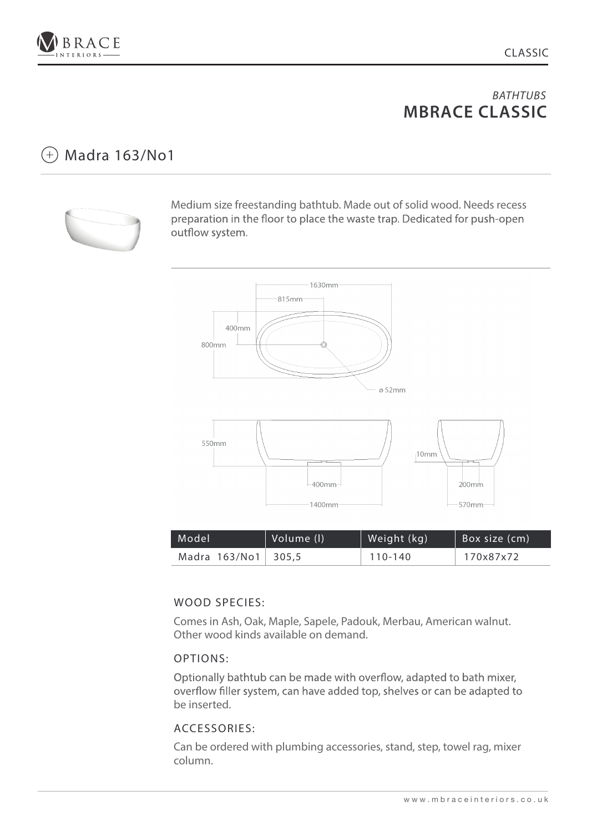

#### Madra 163/No1  $(+)$



Medium size freestanding bathtub. Made out of solid wood. Needs recess preparation in the floor to place the waste trap. Dedicated for push-open outflow system.



| Model               | Volume (I) | Weight (kg) | Box size (cm) |
|---------------------|------------|-------------|---------------|
| Madra 163/No1 305,5 |            | 110-140     | 170x87x72     |

## WOOD SPECIES:

Comes in Ash, Oak, Maple, Sapele, Padouk, Merbau, American walnut. Other wood kinds available on demand.

## OPTIONS:

Optionally bathtub can be made with overflow, adapted to bath mixer, overflow filler system, can have added top, shelves or can be adapted to be inserted.

## ACCESSORIES: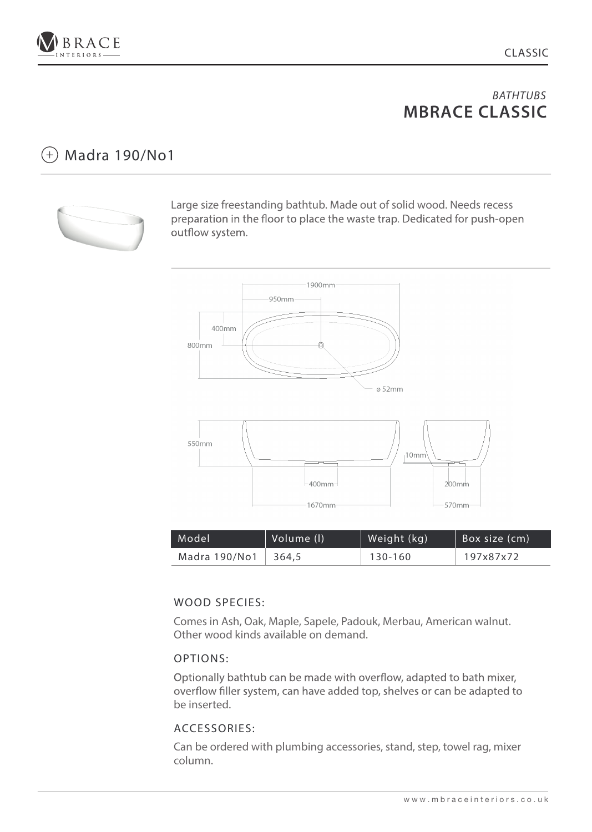

# $(+)$  Madra 190/No1



Large size freestanding bathtub. Made out of solid wood. Needs recess preparation in the floor to place the waste trap. Dedicated for push-open outflow system.



| Model         | Volume (I) | Weight (kg) | Box size (cm) |
|---------------|------------|-------------|---------------|
| Madra 190/No1 | 364.5      | 130-160     | 197x87x72     |

## WOOD SPECIES:

Comes in Ash, Oak, Maple, Sapele, Padouk, Merbau, American walnut. Other wood kinds available on demand.

## OPTIONS:

Optionally bathtub can be made with overflow, adapted to bath mixer, overflow filler system, can have added top, shelves or can be adapted to be inserted.

### ACCESSORIES: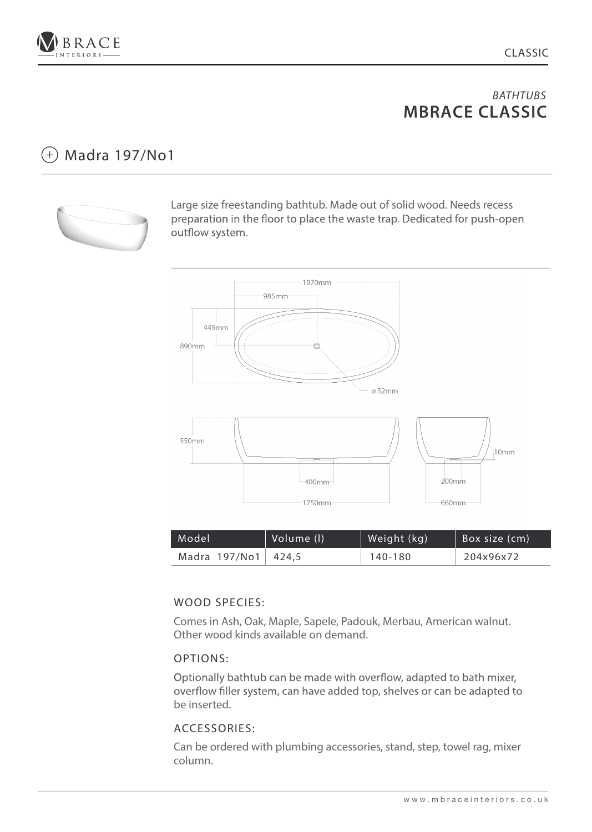

# $(+)$  Madra 197/No1



Large size freestanding bathtub. Made out of solid wood. Needs recess preparation in the floor to place the waste trap. Dedicated for push-open outflow system.



| Model               | Volume (I) | Weight (kg) | Box size (cm) |
|---------------------|------------|-------------|---------------|
| Madra 197/No1 424,5 |            | 140-180     | 204x96x72     |

## WOOD SPECIES:

Comes in Ash, Oak, Maple, Sapele, Padouk, Merbau, American walnut. Other wood kinds available on demand.

## OPTIONS:

Optionally bathtub can be made with overflow, adapted to bath mixer, overflow filler system, can have added top, shelves or can be adapted to be inserted.

## ACCESSORIES: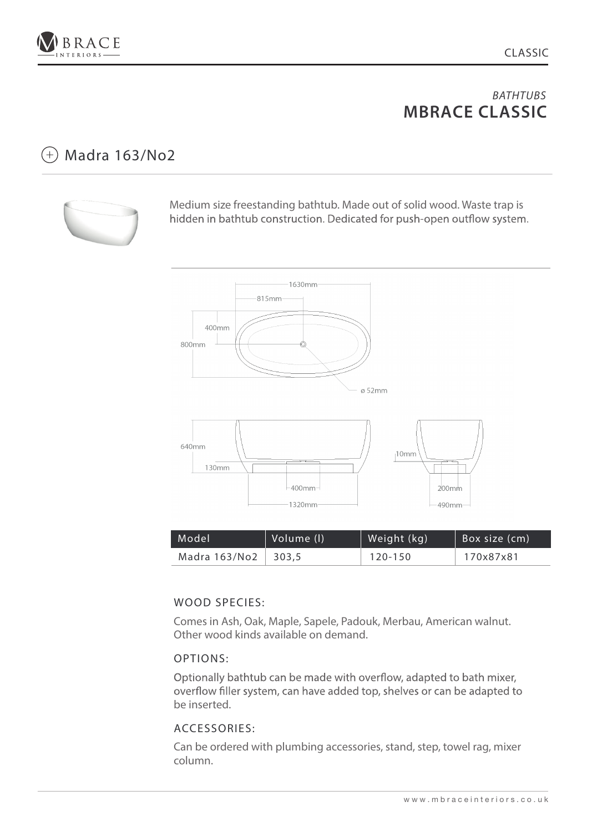

#### Madra 163/No2  $(+)$



Medium size freestanding bathtub. Made out of solid wood. Waste trap is hidden in bathtub construction. Dedicated for push-open outflow system.



| Model               | Volume (l) | Weight (kg) | Box size (cm) |
|---------------------|------------|-------------|---------------|
| Madra 163/No2 303,5 |            | 120-150     | 170x87x81     |

## WOOD SPECIES:

Comes in Ash, Oak, Maple, Sapele, Padouk, Merbau, American walnut. Other wood kinds available on demand.

## OPTIONS:

Optionally bathtub can be made with overflow, adapted to bath mixer, overflow filler system, can have added top, shelves or can be adapted to be inserted.

## ACCESSORIES: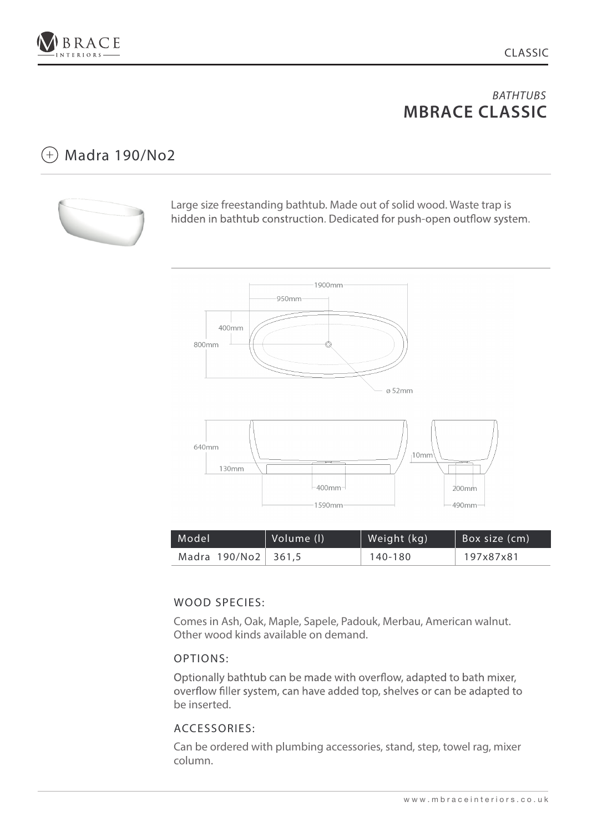

# $(+)$  Madra 190/No2



Large size freestanding bathtub. Made out of solid wood. Waste trap is hidden in bathtub construction. Dedicated for push-open outflow system.



| Model               | Volume (I) | Weight (kg) | Box size (cm) |
|---------------------|------------|-------------|---------------|
| Madra 190/No2 361,5 |            | 140-180     | 197x87x81     |

## WOOD SPECIES:

Comes in Ash, Oak, Maple, Sapele, Padouk, Merbau, American walnut. Other wood kinds available on demand.

## OPTIONS:

Optionally bathtub can be made with overflow, adapted to bath mixer, overflow filler system, can have added top, shelves or can be adapted to be inserted.

## ACCESSORIES: